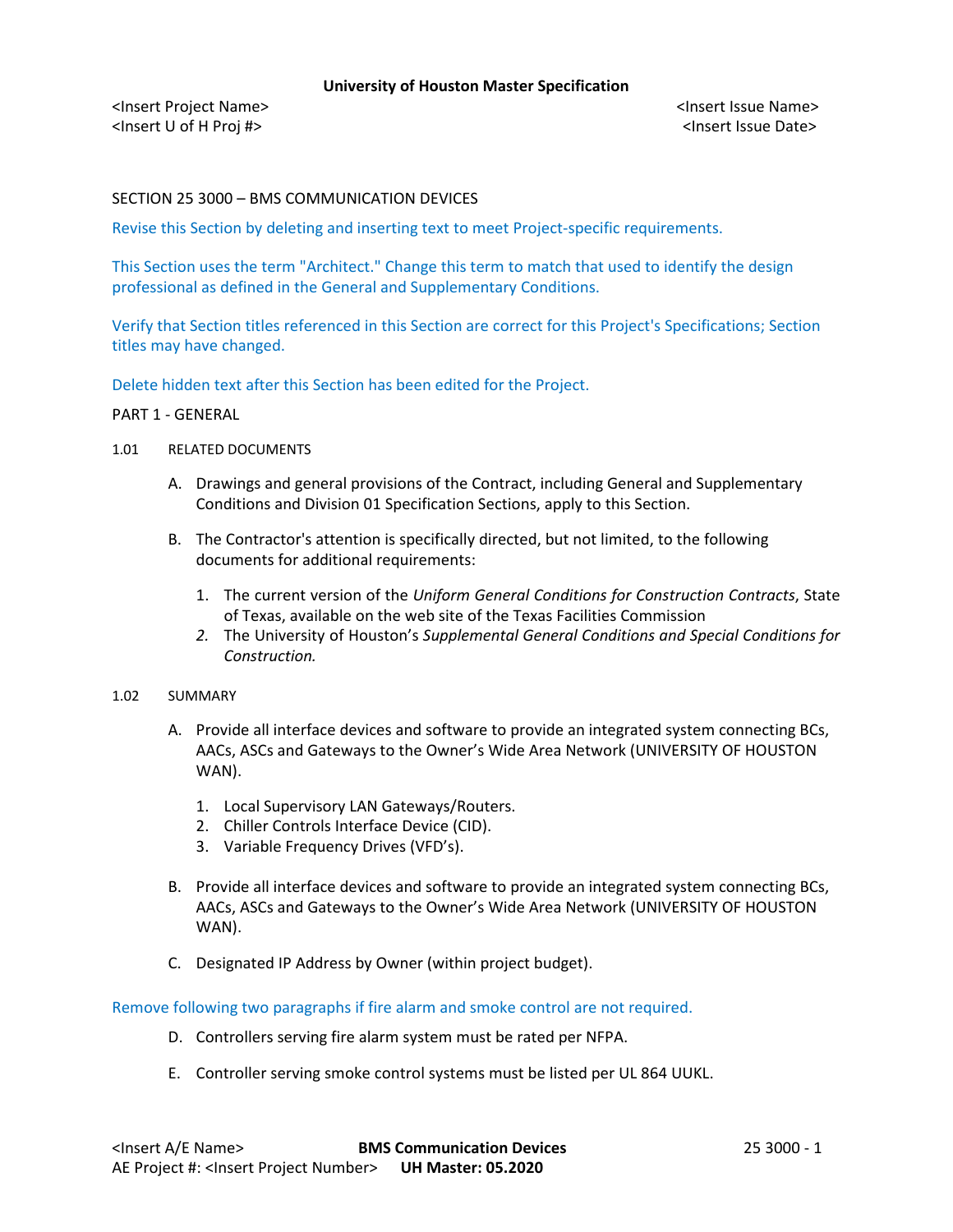<Insert Project Name> <Insert Issue Name> <Insert U of H Proj #> <Insert Issue Date>

SECTION 25 3000 – BMS COMMUNICATION DEVICES

Revise this Section by deleting and inserting text to meet Project-specific requirements.

This Section uses the term "Architect." Change this term to match that used to identify the design professional as defined in the General and Supplementary Conditions.

Verify that Section titles referenced in this Section are correct for this Project's Specifications; Section titles may have changed.

Delete hidden text after this Section has been edited for the Project.

### PART 1 - GENERAL

- 1.01 RELATED DOCUMENTS
	- A. Drawings and general provisions of the Contract, including General and Supplementary Conditions and Division 01 Specification Sections, apply to this Section.
	- B. The Contractor's attention is specifically directed, but not limited, to the following documents for additional requirements:
		- 1. The current version of the *Uniform General Conditions for Construction Contracts*, State of Texas, available on the web site of the Texas Facilities Commission
		- *2.* The University of Houston's *Supplemental General Conditions and Special Conditions for Construction.*

## 1.02 SUMMARY

- A. Provide all interface devices and software to provide an integrated system connecting BCs, AACs, ASCs and Gateways to the Owner's Wide Area Network (UNIVERSITY OF HOUSTON WAN).
	- 1. Local Supervisory LAN Gateways/Routers.
	- 2. Chiller Controls Interface Device (CID).
	- 3. Variable Frequency Drives (VFD's).
- B. Provide all interface devices and software to provide an integrated system connecting BCs, AACs, ASCs and Gateways to the Owner's Wide Area Network (UNIVERSITY OF HOUSTON WAN).
- C. Designated IP Address by Owner (within project budget).

Remove following two paragraphs if fire alarm and smoke control are not required.

- D. Controllers serving fire alarm system must be rated per NFPA.
- E. Controller serving smoke control systems must be listed per UL 864 UUKL.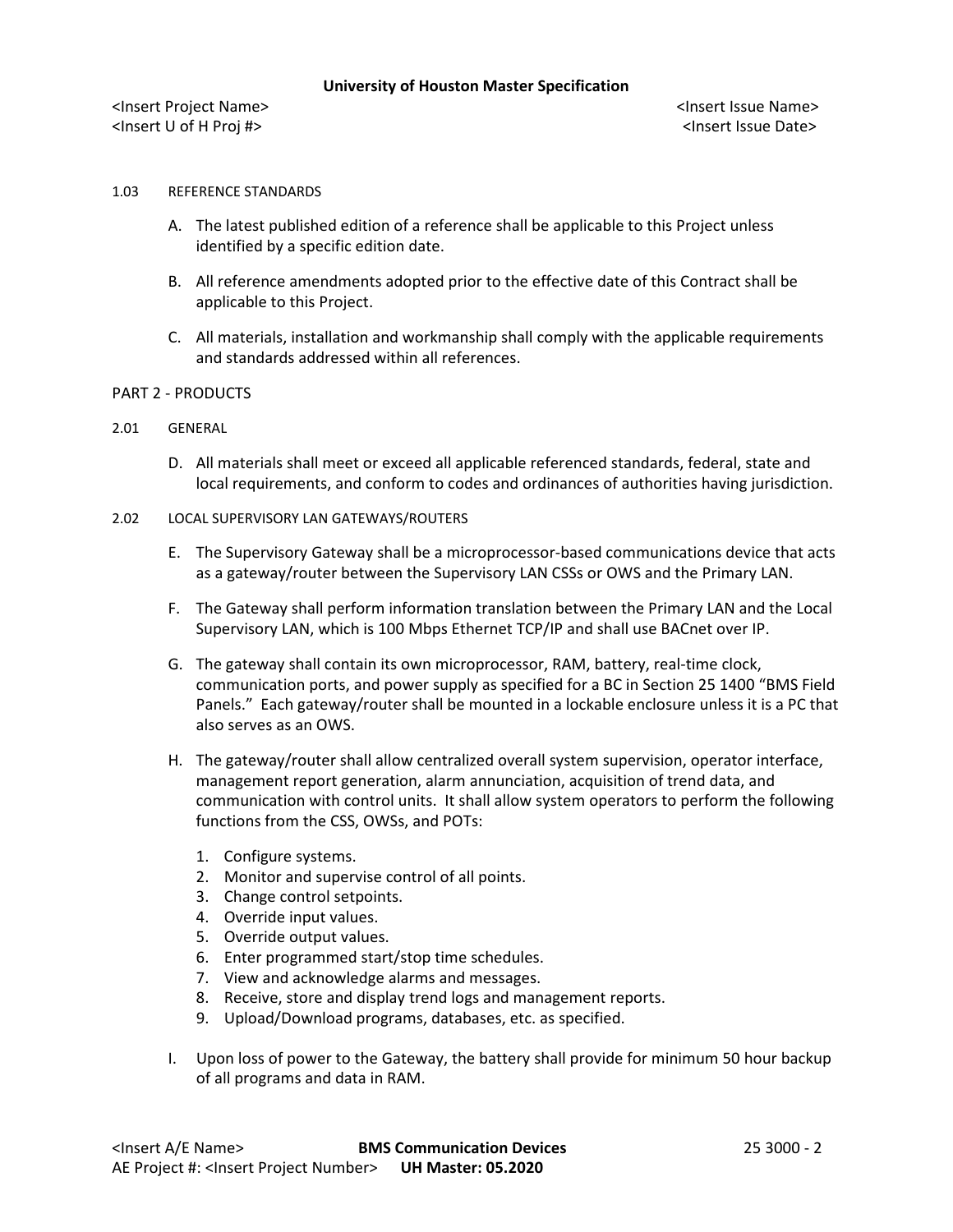<Insert Project Name> <Insert Issue Name> <Insert U of H Proj #> <Insert Issue Date>

# 1.03 REFERENCE STANDARDS

- A. The latest published edition of a reference shall be applicable to this Project unless identified by a specific edition date.
- B. All reference amendments adopted prior to the effective date of this Contract shall be applicable to this Project.
- C. All materials, installation and workmanship shall comply with the applicable requirements and standards addressed within all references.

#### PART 2 - PRODUCTS

### 2.01 GENERAL

- D. All materials shall meet or exceed all applicable referenced standards, federal, state and local requirements, and conform to codes and ordinances of authorities having jurisdiction.
- 2.02 LOCAL SUPERVISORY LAN GATEWAYS/ROUTERS
	- E. The Supervisory Gateway shall be a microprocessor-based communications device that acts as a gateway/router between the Supervisory LAN CSSs or OWS and the Primary LAN.
	- F. The Gateway shall perform information translation between the Primary LAN and the Local Supervisory LAN, which is 100 Mbps Ethernet TCP/IP and shall use BACnet over IP.
	- G. The gateway shall contain its own microprocessor, RAM, battery, real-time clock, communication ports, and power supply as specified for a BC in Section 25 1400 "BMS Field Panels." Each gateway/router shall be mounted in a lockable enclosure unless it is a PC that also serves as an OWS.
	- H. The gateway/router shall allow centralized overall system supervision, operator interface, management report generation, alarm annunciation, acquisition of trend data, and communication with control units. It shall allow system operators to perform the following functions from the CSS, OWSs, and POTs:
		- 1. Configure systems.
		- 2. Monitor and supervise control of all points.
		- 3. Change control setpoints.
		- 4. Override input values.
		- 5. Override output values.
		- 6. Enter programmed start/stop time schedules.
		- 7. View and acknowledge alarms and messages.
		- 8. Receive, store and display trend logs and management reports.
		- 9. Upload/Download programs, databases, etc. as specified.
	- I. Upon loss of power to the Gateway, the battery shall provide for minimum 50 hour backup of all programs and data in RAM.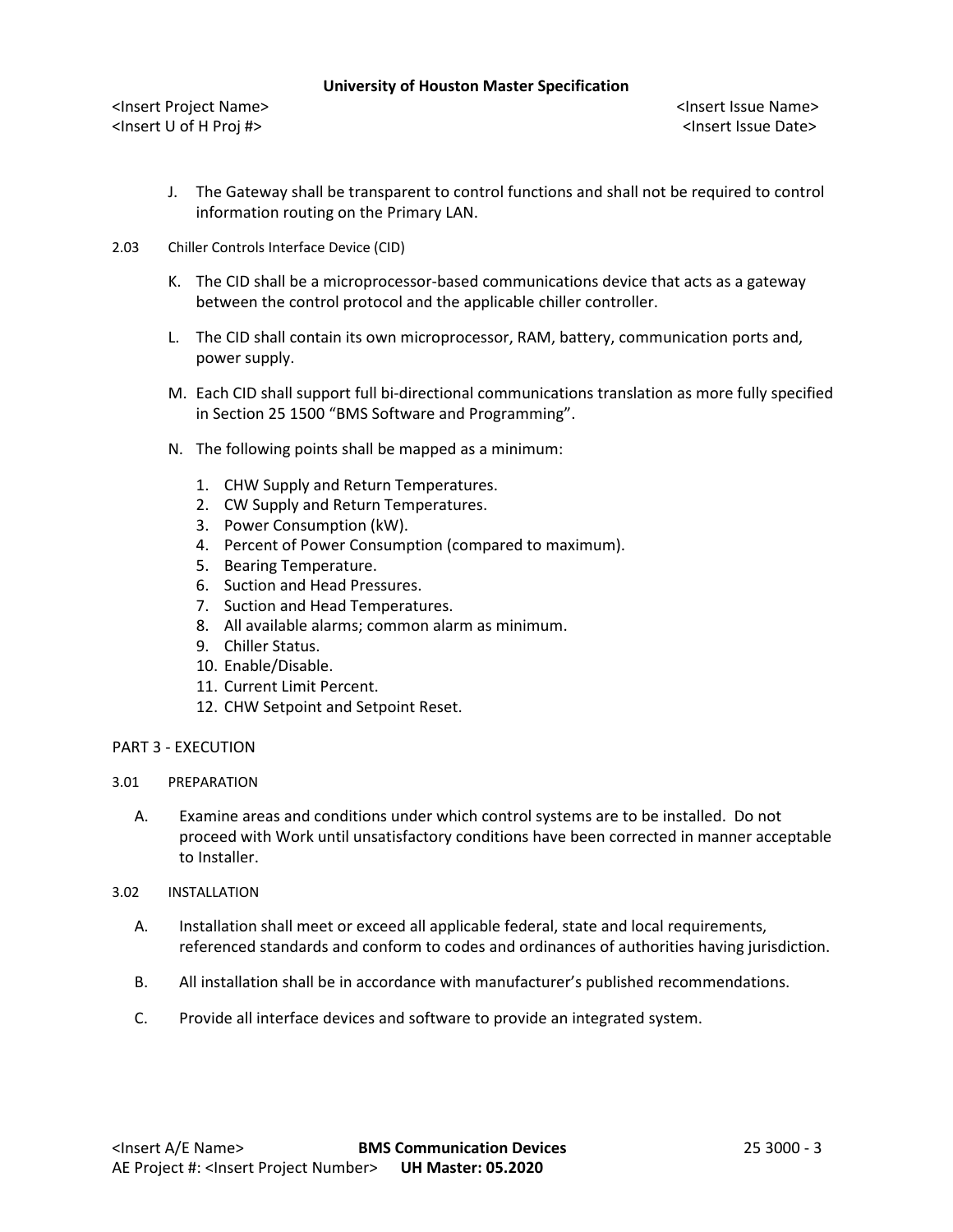#### **University of Houston Master Specification**

<Insert Project Name> <Insert Issue Name> <Insert U of H Proj #> <Insert Issue Date>

- J. The Gateway shall be transparent to control functions and shall not be required to control information routing on the Primary LAN.
- 2.03 Chiller Controls Interface Device (CID)
	- K. The CID shall be a microprocessor-based communications device that acts as a gateway between the control protocol and the applicable chiller controller.
	- L. The CID shall contain its own microprocessor, RAM, battery, communication ports and, power supply.
	- M. Each CID shall support full bi-directional communications translation as more fully specified in Section 25 1500 "BMS Software and Programming".
	- N. The following points shall be mapped as a minimum:
		- 1. CHW Supply and Return Temperatures.
		- 2. CW Supply and Return Temperatures.
		- 3. Power Consumption (kW).
		- 4. Percent of Power Consumption (compared to maximum).
		- 5. Bearing Temperature.
		- 6. Suction and Head Pressures.
		- 7. Suction and Head Temperatures.
		- 8. All available alarms; common alarm as minimum.
		- 9. Chiller Status.
		- 10. Enable/Disable.
		- 11. Current Limit Percent.
		- 12. CHW Setpoint and Setpoint Reset.
- PART 3 EXECUTION
- 3.01 PREPARATION
	- A. Examine areas and conditions under which control systems are to be installed. Do not proceed with Work until unsatisfactory conditions have been corrected in manner acceptable to Installer.
- 3.02 INSTALLATION
	- A. Installation shall meet or exceed all applicable federal, state and local requirements, referenced standards and conform to codes and ordinances of authorities having jurisdiction.
	- B. All installation shall be in accordance with manufacturer's published recommendations.
	- C. Provide all interface devices and software to provide an integrated system.